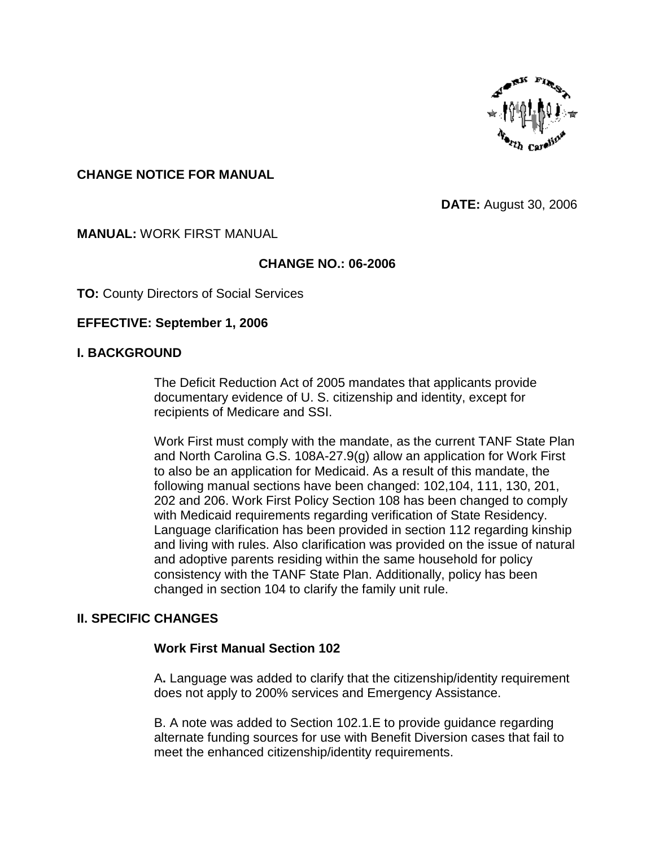

# **CHANGE NOTICE FOR MANUAL**

**DATE:** August 30, 2006

### **MANUAL:** WORK FIRST MANUAL

# **CHANGE NO.: 06-2006**

**TO:** County Directors of Social Services

### **EFFECTIVE: September 1, 2006**

#### **I. BACKGROUND**

The Deficit Reduction Act of 2005 mandates that applicants provide documentary evidence of U. S. citizenship and identity, except for recipients of Medicare and SSI.

Work First must comply with the mandate, as the current TANF State Plan and North Carolina G.S. 108A-27.9(g) allow an application for Work First to also be an application for Medicaid. As a result of this mandate, the following manual sections have been changed: 102,104, 111, 130, 201, 202 and 206. Work First Policy Section 108 has been changed to comply with Medicaid requirements regarding verification of State Residency. Language clarification has been provided in section 112 regarding kinship and living with rules. Also clarification was provided on the issue of natural and adoptive parents residing within the same household for policy consistency with the TANF State Plan. Additionally, policy has been changed in section 104 to clarify the family unit rule.

# **II. SPECIFIC CHANGES**

#### **Work First Manual Section 102**

A**.** Language was added to clarify that the citizenship/identity requirement does not apply to 200% services and Emergency Assistance.

B. A note was added to Section 102.1.E to provide guidance regarding alternate funding sources for use with Benefit Diversion cases that fail to meet the enhanced citizenship/identity requirements.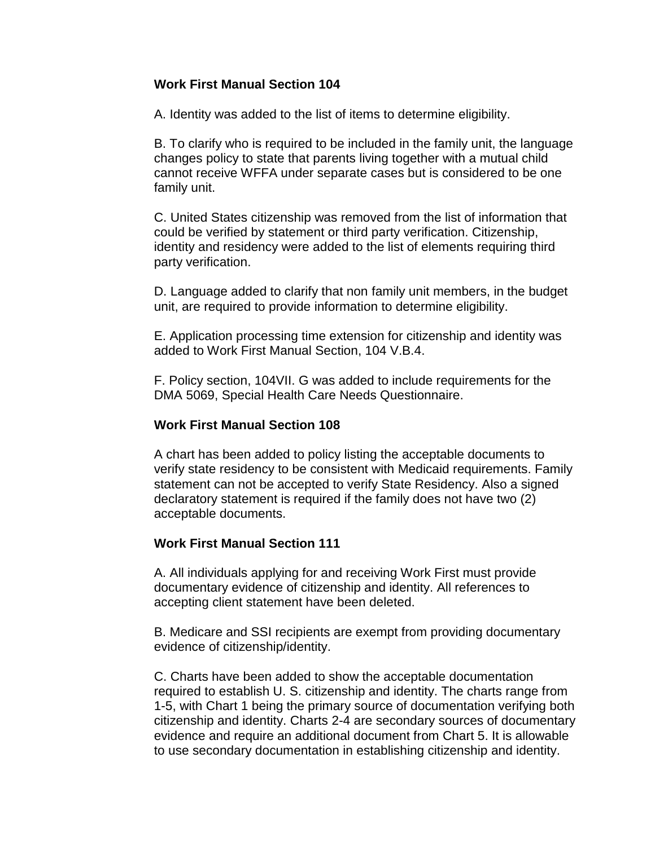# **Work First Manual Section 104**

A. Identity was added to the list of items to determine eligibility.

B. To clarify who is required to be included in the family unit, the language changes policy to state that parents living together with a mutual child cannot receive WFFA under separate cases but is considered to be one family unit.

C. United States citizenship was removed from the list of information that could be verified by statement or third party verification. Citizenship, identity and residency were added to the list of elements requiring third party verification.

D. Language added to clarify that non family unit members, in the budget unit, are required to provide information to determine eligibility.

E. Application processing time extension for citizenship and identity was added to Work First Manual Section, 104 V.B.4.

F. Policy section, 104VII. G was added to include requirements for the DMA 5069, Special Health Care Needs Questionnaire.

# **Work First Manual Section 108**

A chart has been added to policy listing the acceptable documents to verify state residency to be consistent with Medicaid requirements. Family statement can not be accepted to verify State Residency. Also a signed declaratory statement is required if the family does not have two (2) acceptable documents.

# **Work First Manual Section 111**

A. All individuals applying for and receiving Work First must provide documentary evidence of citizenship and identity. All references to accepting client statement have been deleted.

B. Medicare and SSI recipients are exempt from providing documentary evidence of citizenship/identity.

C. Charts have been added to show the acceptable documentation required to establish U. S. citizenship and identity. The charts range from 1-5, with Chart 1 being the primary source of documentation verifying both citizenship and identity. Charts 2-4 are secondary sources of documentary evidence and require an additional document from Chart 5. It is allowable to use secondary documentation in establishing citizenship and identity.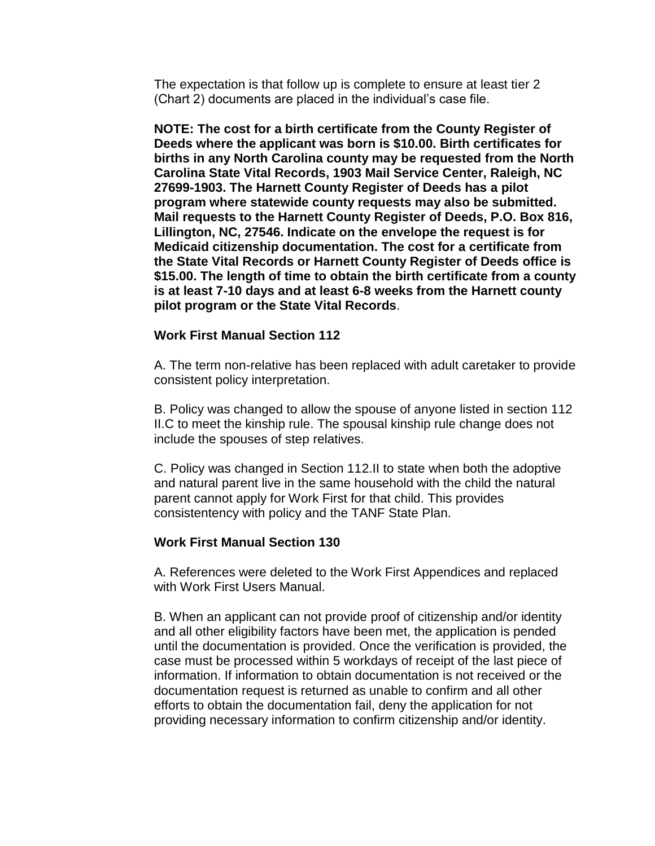The expectation is that follow up is complete to ensure at least tier 2 (Chart 2) documents are placed in the individual's case file.

**NOTE: The cost for a birth certificate from the County Register of Deeds where the applicant was born is \$10.00. Birth certificates for births in any North Carolina county may be requested from the North Carolina State Vital Records, 1903 Mail Service Center, Raleigh, NC 27699-1903. The Harnett County Register of Deeds has a pilot program where statewide county requests may also be submitted. Mail requests to the Harnett County Register of Deeds, P.O. Box 816, Lillington, NC, 27546. Indicate on the envelope the request is for Medicaid citizenship documentation. The cost for a certificate from the State Vital Records or Harnett County Register of Deeds office is \$15.00. The length of time to obtain the birth certificate from a county is at least 7-10 days and at least 6-8 weeks from the Harnett county pilot program or the State Vital Records**.

#### **Work First Manual Section 112**

A. The term non-relative has been replaced with adult caretaker to provide consistent policy interpretation.

B. Policy was changed to allow the spouse of anyone listed in section 112 II.C to meet the kinship rule. The spousal kinship rule change does not include the spouses of step relatives.

C. Policy was changed in Section 112.II to state when both the adoptive and natural parent live in the same household with the child the natural parent cannot apply for Work First for that child. This provides consistentency with policy and the TANF State Plan.

#### **Work First Manual Section 130**

A. References were deleted to the Work First Appendices and replaced with Work First Users Manual.

B. When an applicant can not provide proof of citizenship and/or identity and all other eligibility factors have been met, the application is pended until the documentation is provided. Once the verification is provided, the case must be processed within 5 workdays of receipt of the last piece of information. If information to obtain documentation is not received or the documentation request is returned as unable to confirm and all other efforts to obtain the documentation fail, deny the application for not providing necessary information to confirm citizenship and/or identity.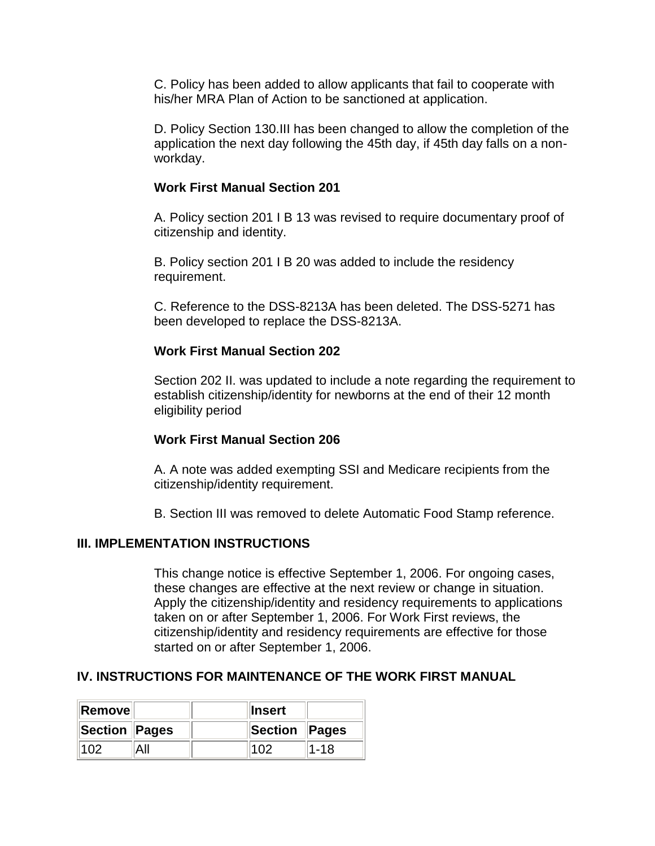C. Policy has been added to allow applicants that fail to cooperate with his/her MRA Plan of Action to be sanctioned at application.

D. Policy Section 130.III has been changed to allow the completion of the application the next day following the 45th day, if 45th day falls on a nonworkday.

### **Work First Manual Section 201**

A. Policy section 201 I B 13 was revised to require documentary proof of citizenship and identity.

B. Policy section 201 I B 20 was added to include the residency requirement.

C. Reference to the DSS-8213A has been deleted. The DSS-5271 has been developed to replace the DSS-8213A.

### **Work First Manual Section 202**

Section 202 II. was updated to include a note regarding the requirement to establish citizenship/identity for newborns at the end of their 12 month eligibility period

# **Work First Manual Section 206**

A. A note was added exempting SSI and Medicare recipients from the citizenship/identity requirement.

B. Section III was removed to delete Automatic Food Stamp reference.

#### **III. IMPLEMENTATION INSTRUCTIONS**

This change notice is effective September 1, 2006. For ongoing cases, these changes are effective at the next review or change in situation. Apply the citizenship/identity and residency requirements to applications taken on or after September 1, 2006. For Work First reviews, the citizenship/identity and residency requirements are effective for those started on or after September 1, 2006.

# **IV. INSTRUCTIONS FOR MAINTENANCE OF THE WORK FIRST MANUAL**

| <b>∥Remove</b> |  | ⊪Insert       |      |
|----------------|--|---------------|------|
| Section Pages  |  | Section Pages |      |
|                |  |               | 1-18 |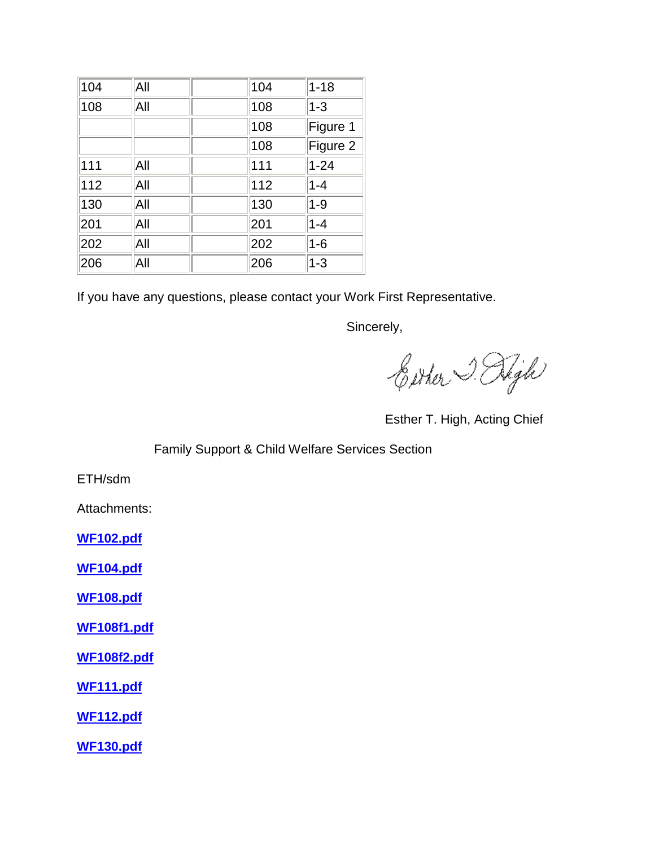| 104 | All | 104 | $1 - 18$ |
|-----|-----|-----|----------|
| 108 | All | 108 | $1 - 3$  |
|     |     | 108 | Figure 1 |
|     |     | 108 | Figure 2 |
| 111 | All | 111 | $1 - 24$ |
| 112 | All | 112 | $1 - 4$  |
| 130 | All | 130 | $1 - 9$  |
| 201 | All | 201 | $1 - 4$  |
| 202 | All | 202 | $1-6$    |
| 206 | All | 206 | $1 - 3$  |

If you have any questions, please contact your Work First Representative.

Sincerely,

Either J. High

Esther T. High, Acting Chief

# Family Support & Child Welfare Services Section

ETH/sdm

Attachments:

**<WF102.pdf>**

**<WF104.pdf>**

**<WF108.pdf>**

**<WF108f1.pdf>**

**<WF108f2.pdf>**

**<WF111.pdf>**

**<WF112.pdf>**

**<WF130.pdf>**